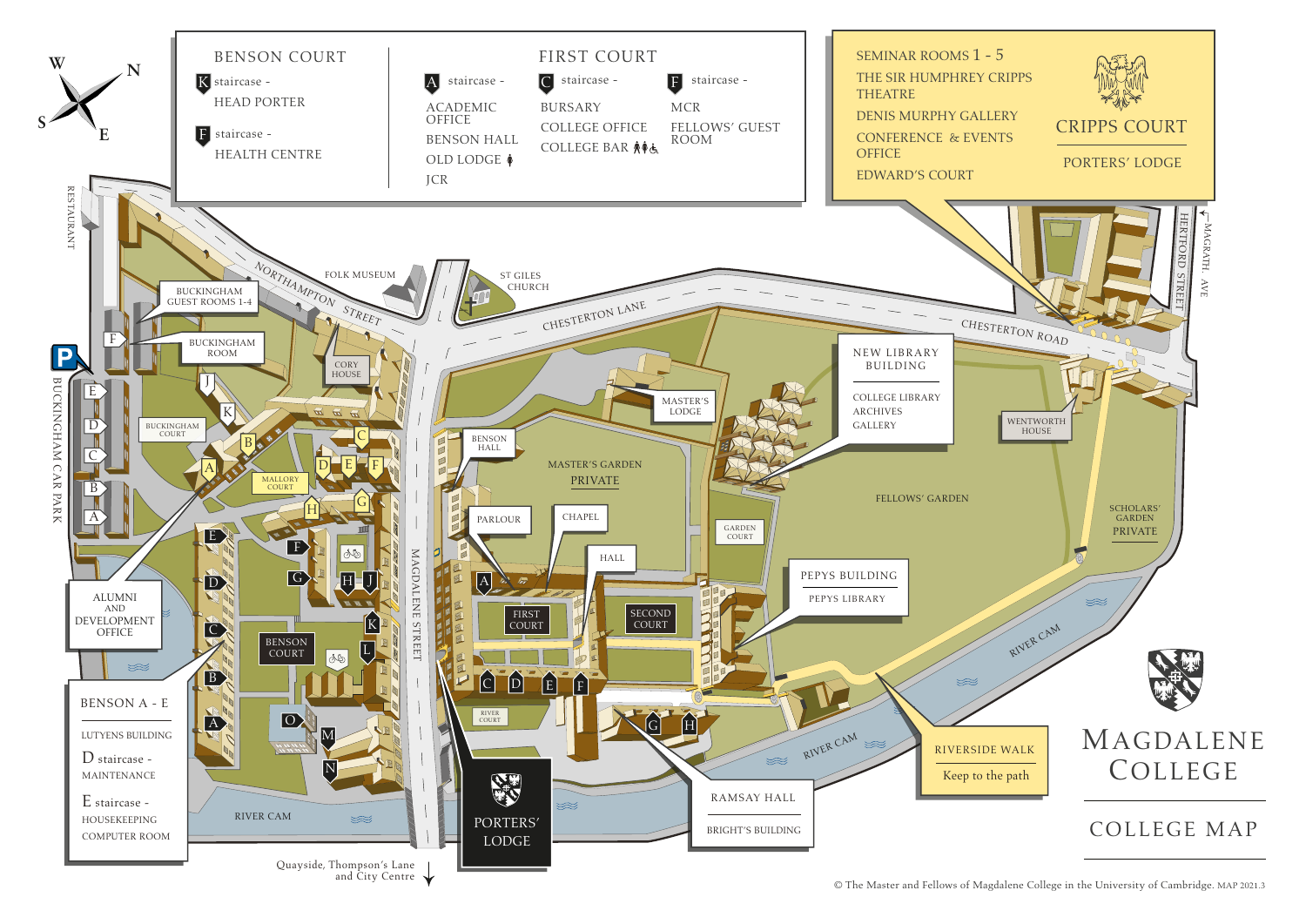